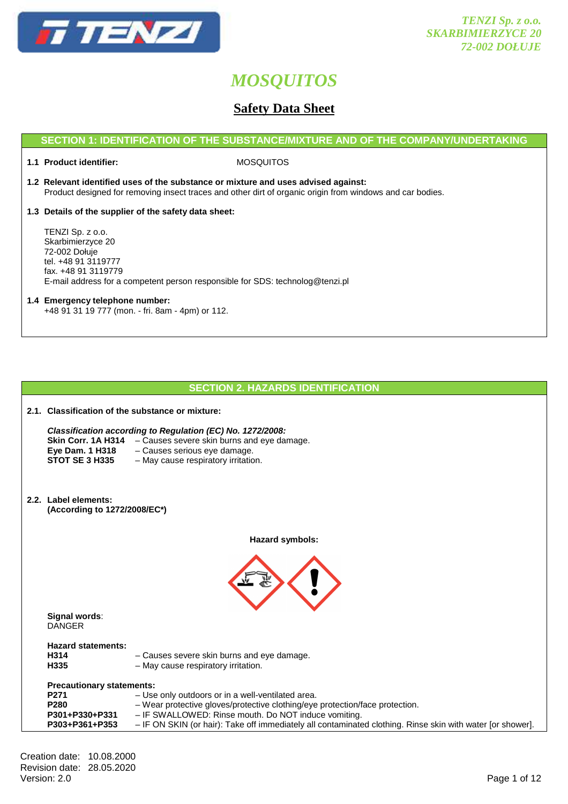

# **Safety Data Sheet**

## **SECTION 1: IDENTIFICATION OF THE SUBSTANCE/MIXTURE AND OF THE COMPANY/UNDERTAKING**

**1.1 Product identifier:** MOSQUITOS

- **1.2 Relevant identified uses of the substance or mixture and uses advised against:** Product designed for removing insect traces and other dirt of organic origin from windows and car bodies.
- **1.3 Details of the supplier of the safety data sheet:**

 TENZI Sp. z o.o. Skarbimierzyce 20 72-002 Dołuje tel. +48 91 3119777 fax. +48 91 3119779 E-mail address for a competent person responsible for SDS: technolog@tenzi.pl

## **1.4 Emergency telephone number:** +48 91 31 19 777 (mon. - fri. 8am - 4pm) or 112.

# **SECTION 2. HAZARDS IDENTIFICATION**

| 2.1. Classification of the substance or mixture:                                     |                                                                                                                                                                                                                                                                                                         |  |
|--------------------------------------------------------------------------------------|---------------------------------------------------------------------------------------------------------------------------------------------------------------------------------------------------------------------------------------------------------------------------------------------------------|--|
| Skin Corr. 1A H314<br><b>Eye Dam. 1 H318</b><br><b>STOT SE 3 H335</b>                | Classification according to Regulation (EC) No. 1272/2008:<br>- Causes severe skin burns and eye damage.<br>- Causes serious eye damage.<br>- May cause respiratory irritation.                                                                                                                         |  |
| 2.2. Label elements:<br>(According to 1272/2008/EC*)                                 |                                                                                                                                                                                                                                                                                                         |  |
|                                                                                      | Hazard symbols:                                                                                                                                                                                                                                                                                         |  |
|                                                                                      |                                                                                                                                                                                                                                                                                                         |  |
| Signal words:<br><b>DANGER</b>                                                       |                                                                                                                                                                                                                                                                                                         |  |
| <b>Hazard statements:</b><br>H314<br>H335                                            | - Causes severe skin burns and eye damage.<br>- May cause respiratory irritation.                                                                                                                                                                                                                       |  |
| <b>Precautionary statements:</b><br>P271<br>P280<br>P301+P330+P331<br>P303+P361+P353 | - Use only outdoors or in a well-ventilated area.<br>- Wear protective gloves/protective clothing/eye protection/face protection.<br>- IF SWALLOWED: Rinse mouth. Do NOT induce vomiting.<br>- IF ON SKIN (or hair): Take off immediately all contaminated clothing. Rinse skin with water [or shower]. |  |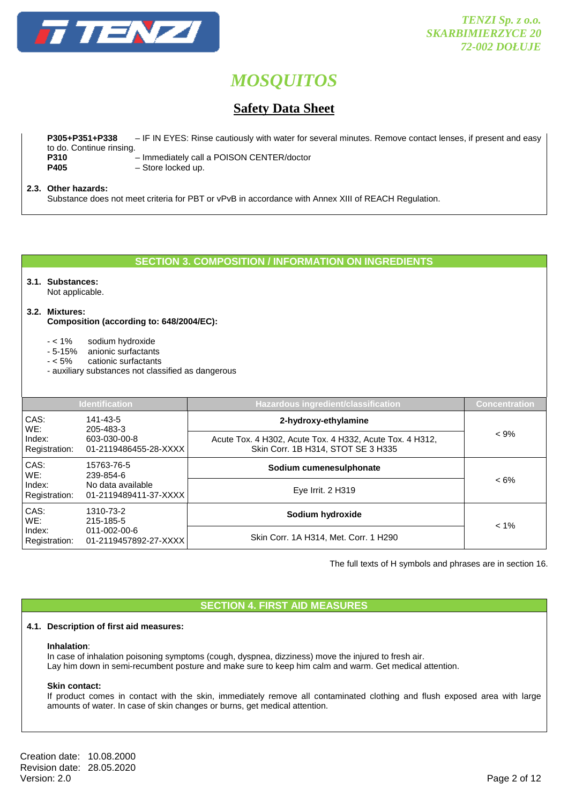

# **Safety Data Sheet**

 **P305+P351+P338** – IF IN EYES: Rinse cautiously with water for several minutes. Remove contact lenses, if present and easy to do. Continue rinsing. **P310** – Immediately call a POISON CENTER/doctor  **P405** – Store locked up.

## **2.3. Other hazards:**

Substance does not meet criteria for PBT or vPvB in accordance with Annex XIII of REACH Regulation.

## **SECTION 3. COMPOSITION / INFORMATION ON INGREDIENTS**

# **3.1. Substances:**

Not applicable.

# **3.2. Mixtures:**

 **Composition (according to: 648/2004/EC):** 

- < 1% sodium hydroxide
- 5-15% anionic surfactants
- < 5% cationic surfactants
- auxiliary substances not classified as dangerous

|                         | <b>Identification</b>                                                   | Hazardous ingredient/classification                                                            | <b>Concentration</b> |
|-------------------------|-------------------------------------------------------------------------|------------------------------------------------------------------------------------------------|----------------------|
| CAS:<br>WE:             | 141-43-5<br>205-483-3                                                   | 2-hydroxy-ethylamine                                                                           |                      |
| Index:<br>Registration: | 603-030-00-8<br>01-2119486455-28-XXXX                                   | Acute Tox. 4 H302, Acute Tox. 4 H332, Acute Tox. 4 H312,<br>Skin Corr. 1B H314, STOT SE 3 H335 | $< 9\%$              |
| CAS:<br>WE:             | 15763-76-5<br>239-854-6<br>No data available<br>01-2119489411-37-XXXX   | Sodium cumenesulphonate                                                                        |                      |
| Index:<br>Registration: |                                                                         | Eye Irrit. $2$ H $319$                                                                         | $< 6\%$              |
| CAS:<br>WE:             | 1310-73-2<br>215-185-5<br>$011 - 002 - 00 - 6$<br>01-2119457892-27-XXXX | Sodium hydroxide                                                                               |                      |
| Index:<br>Registration: |                                                                         | Skin Corr. 1A H314, Met. Corr. 1 H290                                                          | $< 1\%$              |

The full texts of H symbols and phrases are in section 16.

# **SECTION 4. FIRST AID MEASURES**

#### **4.1. Description of first aid measures:**

#### **Inhalation**:

In case of inhalation poisoning symptoms (cough, dyspnea, dizziness) move the injured to fresh air. Lay him down in semi-recumbent posture and make sure to keep him calm and warm. Get medical attention.

#### **Skin contact:**

If product comes in contact with the skin, immediately remove all contaminated clothing and flush exposed area with large amounts of water. In case of skin changes or burns, get medical attention.

Creation date: 10.08.2000 Revision date: 28.05.2020<br>Version: 2.0 Version: 2.0 Page 2 of 12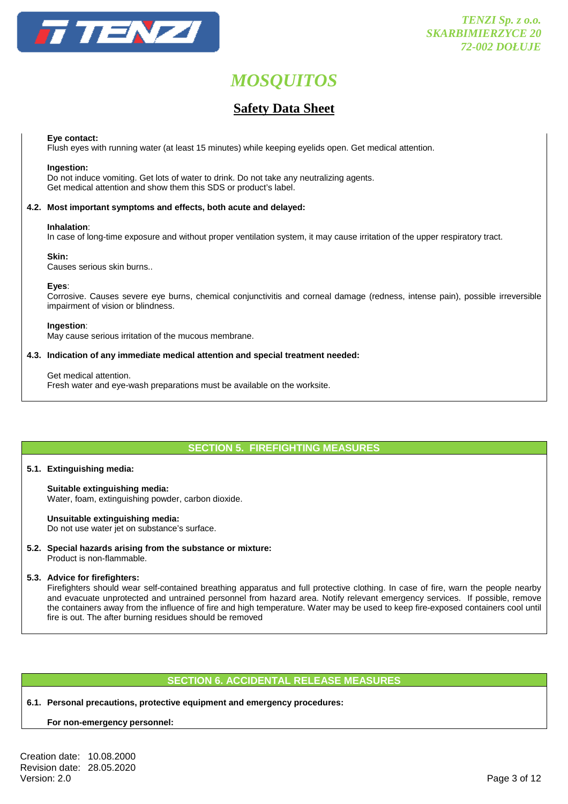

# **Safety Data Sheet**

#### **Eye contact:**

Flush eyes with running water (at least 15 minutes) while keeping eyelids open. Get medical attention.

#### **Ingestion:**

Do not induce vomiting. Get lots of water to drink. Do not take any neutralizing agents. Get medical attention and show them this SDS or product's label.

#### **4.2. Most important symptoms and effects, both acute and delayed:**

#### **Inhalation**:

In case of long-time exposure and without proper ventilation system, it may cause irritation of the upper respiratory tract.

#### **Skin:**

Causes serious skin burns..

#### **Eyes**:

Corrosive. Causes severe eye burns, chemical conjunctivitis and corneal damage (redness, intense pain), possible irreversible impairment of vision or blindness.

#### **Ingestion**:

May cause serious irritation of the mucous membrane.

#### **4.3. Indication of any immediate medical attention and special treatment needed:**

#### Get medical attention.

Fresh water and eye-wash preparations must be available on the worksite.

# **SECTION 5. FIREFIGHTING MEASURES**

#### **5.1. Extinguishing media:**

#### **Suitable extinguishing media:**  Water, foam, extinguishing powder, carbon dioxide.

## **Unsuitable extinguishing media:**

Do not use water jet on substance's surface.

**5.2. Special hazards arising from the substance or mixture:**  Product is non-flammable.

#### **5.3. Advice for firefighters:**

 Firefighters should wear self-contained breathing apparatus and full protective clothing. In case of fire, warn the people nearby and evacuate unprotected and untrained personnel from hazard area. Notify relevant emergency services. If possible, remove the containers away from the influence of fire and high temperature. Water may be used to keep fire-exposed containers cool until fire is out. The after burning residues should be removed

## **SECTION 6. ACCIDENTAL RELEASE MEASURES**

#### **6.1. Personal precautions, protective equipment and emergency procedures:**

## **For non-emergency personnel:**

Creation date: 10.08.2000 Revision date: 28.05.2020<br>Version: 2.0 Version: 2.0 Page 3 of 12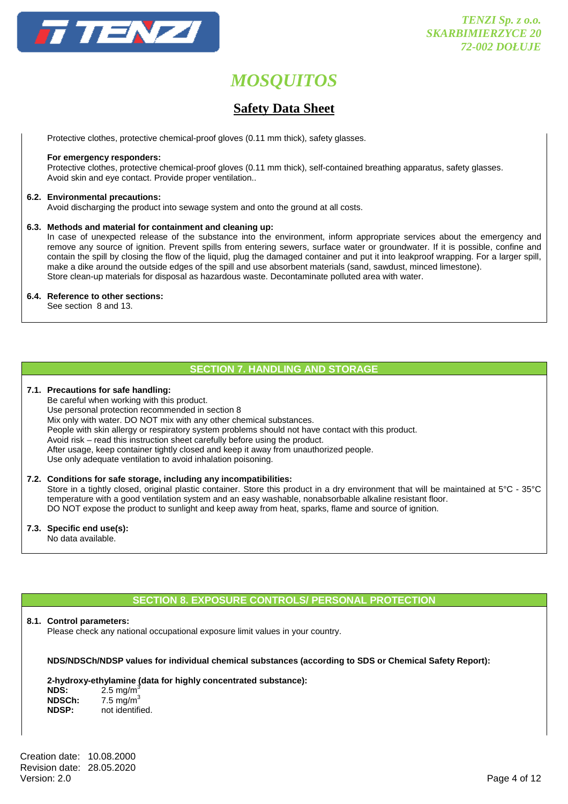

# **Safety Data Sheet**

Protective clothes, protective chemical-proof gloves (0.11 mm thick), safety glasses.

#### **For emergency responders:**

 Protective clothes, protective chemical-proof gloves (0.11 mm thick), self-contained breathing apparatus, safety glasses. Avoid skin and eye contact. Provide proper ventilation..

#### **6.2. Environmental precautions:**

Avoid discharging the product into sewage system and onto the ground at all costs.

#### **6.3. Methods and material for containment and cleaning up:**

 In case of unexpected release of the substance into the environment, inform appropriate services about the emergency and remove any source of ignition. Prevent spills from entering sewers, surface water or groundwater. If it is possible, confine and contain the spill by closing the flow of the liquid, plug the damaged container and put it into leakproof wrapping. For a larger spill, make a dike around the outside edges of the spill and use absorbent materials (sand, sawdust, minced limestone). Store clean-up materials for disposal as hazardous waste. Decontaminate polluted area with water.

#### **6.4. Reference to other sections:**

See section 8 and 13.

## **SECTION 7. HANDLING AND STORAGE**

#### **7.1. Precautions for safe handling:**

 Be careful when working with this product. Use personal protection recommended in section 8 Mix only with water. DO NOT mix with any other chemical substances. People with skin allergy or respiratory system problems should not have contact with this product. Avoid risk – read this instruction sheet carefully before using the product. After usage, keep container tightly closed and keep it away from unauthorized people. Use only adequate ventilation to avoid inhalation poisoning.

#### **7.2. Conditions for safe storage, including any incompatibilities:**

Store in a tightly closed, original plastic container. Store this product in a dry environment that will be maintained at 5°C - 35°C temperature with a good ventilation system and an easy washable, nonabsorbable alkaline resistant floor. DO NOT expose the product to sunlight and keep away from heat, sparks, flame and source of ignition.

**7.3. Specific end use(s):** 

No data available.

# **SECTION 8. EXPOSURE CONTROLS/ PERSONAL PROTECTION**

#### **8.1. Control parameters:**

Please check any national occupational exposure limit values in your country.

#### **NDS/NDSCh/NDSP values for individual chemical substances (according to SDS or Chemical Safety Report):**

#### **2-hydroxy-ethylamine (data for highly concentrated substance):**

| NDS:         | $2.5 \text{ mg/m}^3$  |
|--------------|-----------------------|
| NDSCh:       | 7.5 mg/m <sup>3</sup> |
| <b>NDSP:</b> | not identified.       |

Creation date: 10.08.2000 Revision date: 28.05.2020<br>Version: 2.0 Version: 2.0 Page 4 of 12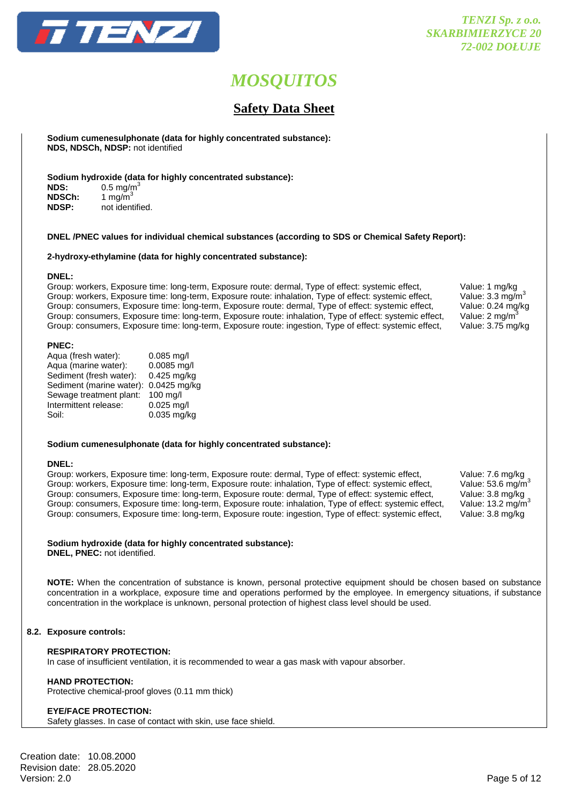

# **Safety Data Sheet**

 **Sodium cumenesulphonate (data for highly concentrated substance): NDS, NDSCh, NDSP:** not identified

**Sodium hydroxide (data for highly concentrated substance):** 

| <b>NDS:</b>  | $0.5 \text{ mg/m}^3$ |
|--------------|----------------------|
| NDSCh:       | 1 mg/m $3$           |
| <b>NDSP:</b> | not identified.      |

#### **DNEL /PNEC values for individual chemical substances (according to SDS or Chemical Safety Report):**

#### **2-hydroxy-ethylamine (data for highly concentrated substance):**

#### **DNEL:**

Group: workers, Exposure time: long-term, Exposure route: dermal, Type of effect: systemic effect, Value: 1 mg/kg<br>Group: workers, Exposure time: long-term, Exposure route: inhalation, Type of effect: systemic effect, Value Group: workers, Exposure time: long-term, Exposure route: inhalation, Type of effect: systemic effect, Value: 3.3 mg/m<sup>3</sup><br>Group: consumers, Exposure time: long-term, Exposure route: dermal, Type of effect: systemic effect, Group: consumers, Exposure time: long-term, Exposure route: dermal, Type of effect: systemic effect, Group: consumers, Exposure time: long-term, Exposure route: inhalation, Type of effect: systemic effect, Value: 2 mg/m<sup>3</sup> Group: consumers, Exposure time: long-term, Exposure route: ingestion, Type of effect: systemic effect, Value: 3.75 mg/kg

#### **PNEC:**

| Aqua (fresh water):      | $0.085$ mg/l |
|--------------------------|--------------|
| Aqua (marine water):     | 0.0085 mg/l  |
| Sediment (fresh water):  | 0.425 mg/kg  |
| Sediment (marine water): | 0.0425 mg/kg |
| Sewage treatment plant:  | 100 mg/l     |
| Intermittent release:    | $0.025$ mg/l |
| Soil:                    | 0.035 mg/kg  |
|                          |              |

#### **Sodium cumenesulphonate (data for highly concentrated substance):**

#### **DNEL:**

Group: workers, Exposure time: long-term, Exposure route: dermal, Type of effect: systemic effect, Value: 7.6 mg/kg<br>Group: workers, Exposure time: long-term, Exposure route: inhalation, Type of effect: systemic effect, Val Group: workers, Exposure time: long-term, Exposure route: inhalation, Type of effect: systemic effect, Group: consumers, Exposure time: long-term, Exposure route: dermal, Type of effect: systemic effect, Value: 3.8 mg/kg<br>Group: consumers, Exposure time: long-term, Exposure route: inhalation, Type of effect: systemic effect, Group: consumers, Exposure time: long-term, Exposure route: inhalation, Type of effect: systemic effect, Group: consumers, Exposure time: long-term, Exposure route: ingestion, Type of effect: systemic effect, Value: 3.8 mg/kg

#### **Sodium hydroxide (data for highly concentrated substance):**

**DNEL, PNEC:** not identified.

**NOTE:** When the concentration of substance is known, personal protective equipment should be chosen based on substance concentration in a workplace, exposure time and operations performed by the employee. In emergency situations, if substance concentration in the workplace is unknown, personal protection of highest class level should be used.

#### **8.2. Exposure controls:**

### **RESPIRATORY PROTECTION:**

In case of insufficient ventilation, it is recommended to wear a gas mask with vapour absorber.

#### **HAND PROTECTION:**

Protective chemical-proof gloves (0.11 mm thick)

#### **EYE/FACE PROTECTION:**

Safety glasses. In case of contact with skin, use face shield.

Creation date: 10.08.2000 Revision date: 28.05.2020<br>Version: 2.0 Version: 2.0 Page 5 of 12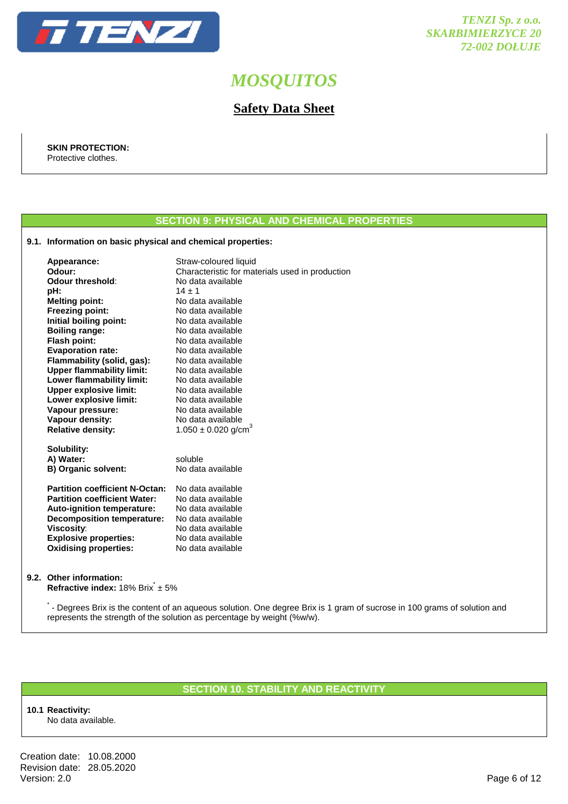

# **Safety Data Sheet**

 **SKIN PROTECTION:**  Protective clothes.

# **SECTION 9: PHYSICAL AND CHEMICAL PROPERTIES**

### **9.1. Information on basic physical and chemical properties:**

| Appearance:<br>Odour:<br>Odour threshold:<br>pH:<br><b>Melting point:</b><br><b>Freezing point:</b><br>Initial boiling point:<br><b>Boiling range:</b><br><b>Flash point:</b><br><b>Evaporation rate:</b><br>Flammability (solid, gas): | Straw-coloured liquid<br>Characteristic for materials used in production<br>No data available<br>$14 \pm 1$<br>No data available<br>No data available<br>No data available<br>No data available<br>No data available<br>No data available<br>No data available |
|-----------------------------------------------------------------------------------------------------------------------------------------------------------------------------------------------------------------------------------------|----------------------------------------------------------------------------------------------------------------------------------------------------------------------------------------------------------------------------------------------------------------|
| <b>Upper flammability limit:</b><br>Lower flammability limit:                                                                                                                                                                           | No data available<br>No data available                                                                                                                                                                                                                         |
| <b>Upper explosive limit:</b>                                                                                                                                                                                                           | No data available                                                                                                                                                                                                                                              |
| Lower explosive limit:                                                                                                                                                                                                                  | No data available                                                                                                                                                                                                                                              |
| Vapour pressure:                                                                                                                                                                                                                        | No data available                                                                                                                                                                                                                                              |
| Vapour density:                                                                                                                                                                                                                         | No data available                                                                                                                                                                                                                                              |
| <b>Relative density:</b>                                                                                                                                                                                                                | $1.050 \pm 0.020$ g/cm <sup>3</sup>                                                                                                                                                                                                                            |
| Solubility:<br>A) Water:<br><b>B) Organic solvent:</b>                                                                                                                                                                                  | soluble<br>No data available                                                                                                                                                                                                                                   |
| <b>Partition coefficient N-Octan:</b>                                                                                                                                                                                                   | No data available                                                                                                                                                                                                                                              |
| <b>Partition coefficient Water:</b>                                                                                                                                                                                                     | No data available                                                                                                                                                                                                                                              |
| Auto-ignition temperature:                                                                                                                                                                                                              | No data available                                                                                                                                                                                                                                              |
| <b>Decomposition temperature:</b>                                                                                                                                                                                                       | No data available                                                                                                                                                                                                                                              |
| <b>Viscosity:</b>                                                                                                                                                                                                                       | No data available                                                                                                                                                                                                                                              |
| <b>Explosive properties:</b>                                                                                                                                                                                                            | No data available                                                                                                                                                                                                                                              |
| <b>Oxidising properties:</b>                                                                                                                                                                                                            | No data available                                                                                                                                                                                                                                              |
|                                                                                                                                                                                                                                         |                                                                                                                                                                                                                                                                |

#### **9.2. Other information:**

**Refractive index:** 18% Brix<sup>\*</sup> ± 5%

\*- Degrees Brix is the content of an aqueous solution. One degree Brix is 1 gram of sucrose in 100 grams of solution and represents the strength of the solution as percentage by weight (%w/w).

## **SECTION 10. STABILITY AND REACTIVITY**

## **10.1 Reactivity:**

No data available.

Creation date: 10.08.2000 Revision date: 28.05.2020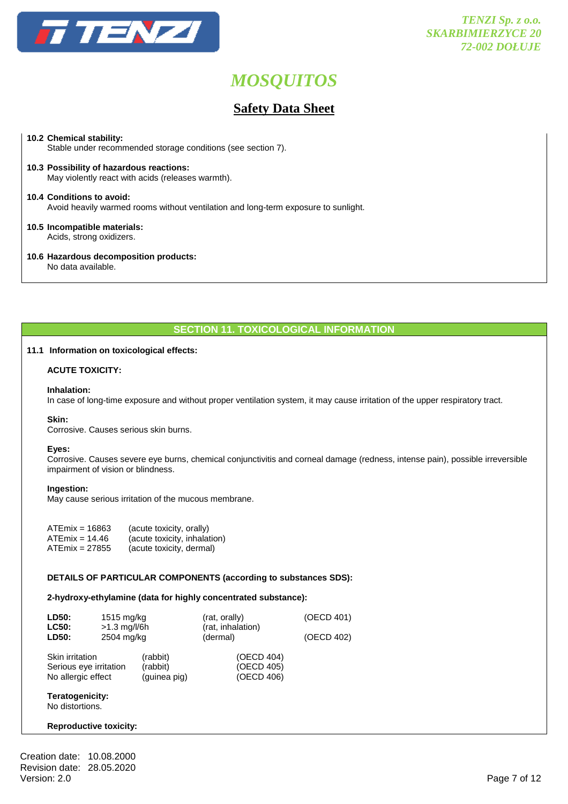

# **Safety Data Sheet**

#### **10.2 Chemical stability:**

Stable under recommended storage conditions (see section 7).

**10.3 Possibility of hazardous reactions:** May violently react with acids (releases warmth).

**10.4 Conditions to avoid:** Avoid heavily warmed rooms without ventilation and long-term exposure to sunlight.

#### **10.5 Incompatible materials:** Acids, strong oxidizers.

**10.6 Hazardous decomposition products:**

No data available.

## **SECTION 11. TOXICOLOGICAL INFORMATION**

## **11.1 Information on toxicological effects:**

### **ACUTE TOXICITY:**

#### **Inhalation:**

In case of long-time exposure and without proper ventilation system, it may cause irritation of the upper respiratory tract.

#### **Skin:**

Corrosive. Causes serious skin burns.

#### **Eyes:**

 Corrosive. Causes severe eye burns, chemical conjunctivitis and corneal damage (redness, intense pain), possible irreversible impairment of vision or blindness.

#### **Ingestion:**

May cause serious irritation of the mucous membrane.

| $ATEmix = 16863$ | (acute toxicity, orally)     |
|------------------|------------------------------|
| $ATEmix = 14.46$ | (acute toxicity, inhalation) |
| $ATEmix = 27855$ | (acute toxicity, dermal)     |

#### **DETAILS OF PARTICULAR COMPONENTS (according to substances SDS):**

#### **2-hydroxy-ethylamine (data for highly concentrated substance):**

| LD50:<br><b>LC50:</b><br>LD50:                                  | 1515 mg/kg<br>$>1.3$ mg/l/6h<br>2504 mg/kg |                                      | (rat, orally)<br>(rat, inhalation)<br>(dermal) | (OECD 401)<br>(OECD 402) |
|-----------------------------------------------------------------|--------------------------------------------|--------------------------------------|------------------------------------------------|--------------------------|
| Skin irritation<br>Serious eye irritation<br>No allergic effect |                                            | (rabbit)<br>(rabbit)<br>(guinea pig) | (OECD 404)<br>(OECD 405)<br>(OECD 406)         |                          |

# **Teratogenicity:**

No distortions.

#### **Reproductive toxicity:**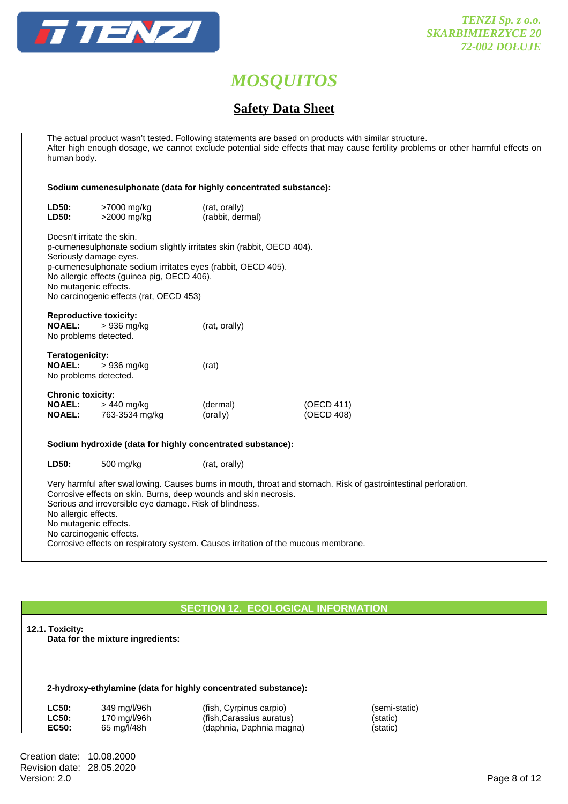

# **Safety Data Sheet**

 The actual product wasn't tested. Following statements are based on products with similar structure. After high enough dosage, we cannot exclude potential side effects that may cause fertility problems or other harmful effects on human body.

### **Sodium cumenesulphonate (data for highly concentrated substance):**

| LD50:<br>LD50:                                                                | >7000 mg/kg<br>>2000 mg/kg                                                                                                                                                                                                      | (rat, orally)<br>(rabbit, dermal) |                          |
|-------------------------------------------------------------------------------|---------------------------------------------------------------------------------------------------------------------------------------------------------------------------------------------------------------------------------|-----------------------------------|--------------------------|
| Doesn't irritate the skin.<br>Seriously damage eyes.<br>No mutagenic effects. | p-cumenesulphonate sodium slightly irritates skin (rabbit, OECD 404).<br>p-cumenesulphonate sodium irritates eyes (rabbit, OECD 405).<br>No allergic effects (guinea pig, OECD 406).<br>No carcinogenic effects (rat, OECD 453) |                                   |                          |
| <b>Reproductive toxicity:</b><br><b>NOAEL:</b><br>No problems detected.       | > 936 mg/kg                                                                                                                                                                                                                     | (rat, orally)                     |                          |
| Teratogenicity:<br><b>NOAEL:</b><br>No problems detected.                     | > 936 mg/kg                                                                                                                                                                                                                     | (rat)                             |                          |
| <b>Chronic toxicity:</b>                                                      | <b>NOAEL:</b> $> 440$ mg/kg<br><b>NOAEL:</b> 763-3534 mg/kg                                                                                                                                                                     | (dermal)<br>(orally)              | (OECD 411)<br>(OECD 408) |
|                                                                               | Sodium hydroxide (data for highly concentrated substance):                                                                                                                                                                      |                                   |                          |
| LD50:                                                                         | 500 mg/kg                                                                                                                                                                                                                       | (rat, orally)                     |                          |

 Very harmful after swallowing. Causes burns in mouth, throat and stomach. Risk of gastrointestinal perforation. Corrosive effects on skin. Burns, deep wounds and skin necrosis. Serious and irreversible eye damage. Risk of blindness. No allergic effects. No mutagenic effects. No carcinogenic effects. Corrosive effects on respiratory system. Causes irritation of the mucous membrane.

# **SECTION 12. ECOLOGICAL INFORMATION**

#### **12.1. Toxicity:**

**Data for the mixture ingredients:** 

#### **2-hydroxy-ethylamine (data for highly concentrated substance):**

| <b>LC50:</b> | 349 mg/l/96h |
|--------------|--------------|
| <b>LC50:</b> | 170 mg/l/96h |
| EC50:        | 65 mg/l/48h  |

 **LC50:** 349 mg/l/96h (fish, Cyrpinus carpio) (semi-static) (fish,Carassius auratus) (static) (daphnia, Daphnia magna) (static)

Creation date: 10.08.2000 Revision date: 28.05.2020<br>Version: 2.0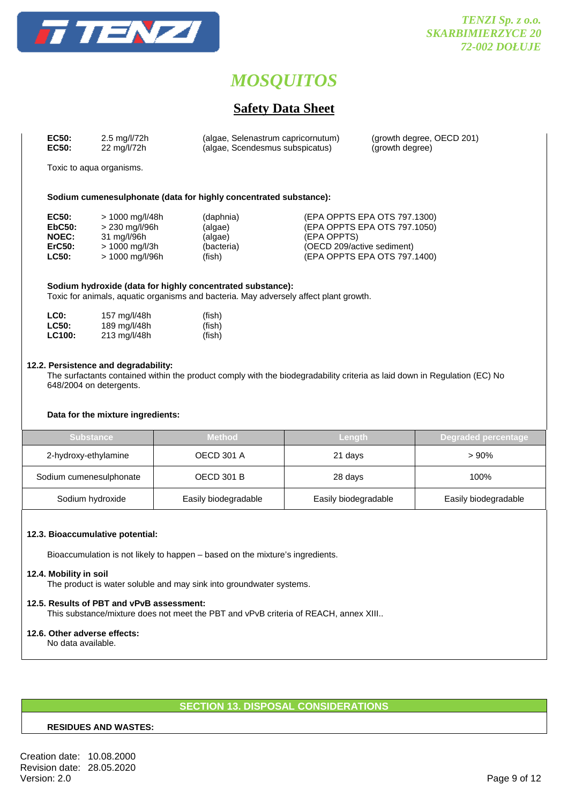

# **Safety Data Sheet**

| EC50: | 2.5 mg/l/72h | (algae, Selenastrum capricornutum) | (growth degree, OECD 201) |
|-------|--------------|------------------------------------|---------------------------|
| EC50: | 22 mg/l/72h  | (algae, Scendesmus subspicatus)    | (growth degree)           |

Toxic to aqua organisms.

#### **Sodium cumenesulphonate (data for highly concentrated substance):**

| EC50:        | > 1000 mg/l/48h          | (daphnia)  | (EPA OPPTS EPA OTS 797.1300) |
|--------------|--------------------------|------------|------------------------------|
| EbC50:       | > 230 mg/l/96h           | (algae)    | (EPA OPPTS EPA OTS 797.1050) |
| <b>NOEC:</b> | 31 mg/l/96h              | (algae)    | (EPA OPPTS)                  |
| ErC50:       | $> 1000 \text{ mg/l/3h}$ | (bacteria) | (OECD 209/active sediment)   |
| <b>LC50:</b> | > 1000 mg/l/96h          | (fish)     | (EPA OPPTS EPA OTS 797.1400) |

 **Sodium hydroxide (data for highly concentrated substance):**  Toxic for animals, aquatic organisms and bacteria. May adversely affect plant growth.

| LC <sub>0</sub> : | 157 mg/l/48h | (fish) |
|-------------------|--------------|--------|
| <b>LC50:</b>      | 189 mg/l/48h | (fish) |
| <b>LC100:</b>     | 213 mg/l/48h | (fish) |

#### **12.2. Persistence and degradability:**

 The surfactants contained within the product comply with the biodegradability criteria as laid down in Regulation (EC) No 648/2004 on detergents.

#### **Data for the mixture ingredients:**

| <b>Substance</b>        | <b>Method</b>        | Length               | Degraded percentage  |
|-------------------------|----------------------|----------------------|----------------------|
| 2-hydroxy-ethylamine    | <b>OECD 301 A</b>    | 21 days              | >90%                 |
| Sodium cumenesulphonate | <b>OECD 301 B</b>    | 28 days              | 100%                 |
| Sodium hydroxide        | Easily biodegradable | Easily biodegradable | Easily biodegradable |

#### **12.3. Bioaccumulative potential:**

Bioaccumulation is not likely to happen – based on the mixture's ingredients.

#### **12.4. Mobility in soil**

The product is water soluble and may sink into groundwater systems.

# **12.5. Results of PBT and vPvB assessment:**

This substance/mixture does not meet the PBT and vPvB criteria of REACH, annex XIII..

# **12.6. Other adverse effects:**

No data available.

# **SECTION 13. DISPOSAL CONSIDERATIONS**

#### **RESIDUES AND WASTES:**

Creation date: 10.08.2000 Revision date: 28.05.2020<br>Version: 2.0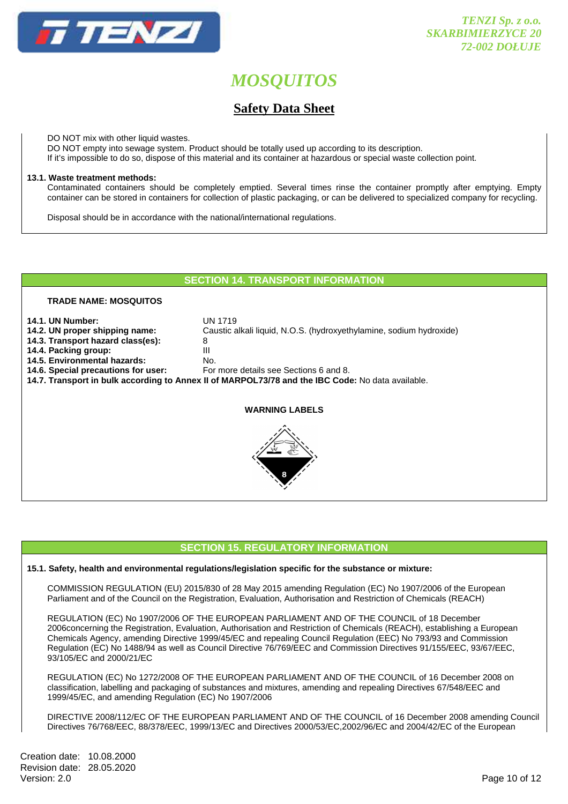

# **Safety Data Sheet**

DO NOT mix with other liquid wastes.

DO NOT empty into sewage system. Product should be totally used up according to its description.

If it's impossible to do so, dispose of this material and its container at hazardous or special waste collection point.

### **13.1. Waste treatment methods:**

 Contaminated containers should be completely emptied. Several times rinse the container promptly after emptying. Empty container can be stored in containers for collection of plastic packaging, or can be delivered to specialized company for recycling.

Disposal should be in accordance with the national/international regulations.

## **SECTION 14. TRANSPORT INFORMATION**

**14.2. UN proper shipping name:** Caustic alkali liquid, N.O.S. (hydroxyethylamine, sodium hydroxide)

## **TRADE NAME: MOSQUITOS**

- 
- **14.1. UN Number:** UN 1719<br>**14.2. UN proper shipping name:** Caustic a
- **14.3. Transport hazard class(es):** 8
- **14.4. Packing group:** III
- **14.5. Environmental hazards:** No.
- **14.6. Special precautions for user:**
- **14.7. Transport in bulk according to Annex II of MARPOL73/78 and the IBC Code:** No data available.



**WARNING LABELS**

# **SECTION 15. REGULATORY INFORMATION**

## **15.1. Safety, health and environmental regulations/legislation specific for the substance or mixture:**

COMMISSION REGULATION (EU) 2015/830 of 28 May 2015 amending Regulation (EC) No 1907/2006 of the European Parliament and of the Council on the Registration, Evaluation, Authorisation and Restriction of Chemicals (REACH)

 REGULATION (EC) No 1907/2006 OF THE EUROPEAN PARLIAMENT AND OF THE COUNCIL of 18 December 2006concerning the Registration, Evaluation, Authorisation and Restriction of Chemicals (REACH), establishing a European Chemicals Agency, amending Directive 1999/45/EC and repealing Council Regulation (EEC) No 793/93 and Commission Regulation (EC) No 1488/94 as well as Council Directive 76/769/EEC and Commission Directives 91/155/EEC, 93/67/EEC, 93/105/EC and 2000/21/EC

 REGULATION (EC) No 1272/2008 OF THE EUROPEAN PARLIAMENT AND OF THE COUNCIL of 16 December 2008 on classification, labelling and packaging of substances and mixtures, amending and repealing Directives 67/548/EEC and 1999/45/EC, and amending Regulation (EC) No 1907/2006

 DIRECTIVE 2008/112/EC OF THE EUROPEAN PARLIAMENT AND OF THE COUNCIL of 16 December 2008 amending Council Directives 76/768/EEC, 88/378/EEC, 1999/13/EC and Directives 2000/53/EC,2002/96/EC and 2004/42/EC of the European

Creation date: 10.08.2000 Revision date: 28.05.2020<br>Version: 2.0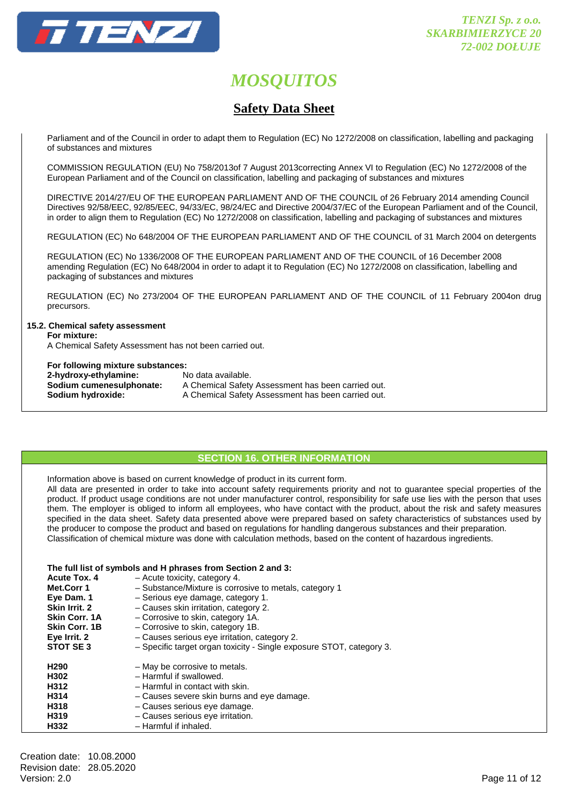

# **Safety Data Sheet**

Parliament and of the Council in order to adapt them to Regulation (EC) No 1272/2008 on classification, labelling and packaging of substances and mixtures

 COMMISSION REGULATION (EU) No 758/2013of 7 August 2013correcting Annex VI to Regulation (EC) No 1272/2008 of the European Parliament and of the Council on classification, labelling and packaging of substances and mixtures

 DIRECTIVE 2014/27/EU OF THE EUROPEAN PARLIAMENT AND OF THE COUNCIL of 26 February 2014 amending Council Directives 92/58/EEC, 92/85/EEC, 94/33/EC, 98/24/EC and Directive 2004/37/EC of the European Parliament and of the Council, in order to align them to Regulation (EC) No 1272/2008 on classification, labelling and packaging of substances and mixtures

REGULATION (EC) No 648/2004 OF THE EUROPEAN PARLIAMENT AND OF THE COUNCIL of 31 March 2004 on detergents

 REGULATION (EC) No 1336/2008 OF THE EUROPEAN PARLIAMENT AND OF THE COUNCIL of 16 December 2008 amending Regulation (EC) No 648/2004 in order to adapt it to Regulation (EC) No 1272/2008 on classification, labelling and packaging of substances and mixtures

 REGULATION (EC) No 273/2004 OF THE EUROPEAN PARLIAMENT AND OF THE COUNCIL of 11 February 2004on drug precursors.

## **15.2. Chemical safety assessment**

 **For mixture:** 

A Chemical Safety Assessment has not been carried out.

#### **For following mixture substances:**

| 2-hydroxy-ethylamine:    | No data available.                                 |
|--------------------------|----------------------------------------------------|
| Sodium cumenesulphonate: | A Chemical Safety Assessment has been carried out. |
| Sodium hydroxide:        | A Chemical Safety Assessment has been carried out. |

## **SECTION 16. OTHER INFORMATION**

Information above is based on current knowledge of product in its current form.

 All data are presented in order to take into account safety requirements priority and not to guarantee special properties of the product. If product usage conditions are not under manufacturer control, responsibility for safe use lies with the person that uses them. The employer is obliged to inform all employees, who have contact with the product, about the risk and safety measures specified in the data sheet. Safety data presented above were prepared based on safety characteristics of substances used by the producer to compose the product and based on regulations for handling dangerous substances and their preparation. Classification of chemical mixture was done with calculation methods, based on the content of hazardous ingredients.

## **The full list of symbols and H phrases from Section 2 and 3:**

| Acute Tox. 4         | - Acute toxicity, category 4.                                        |  |
|----------------------|----------------------------------------------------------------------|--|
| Met.Corr 1           | - Substance/Mixture is corrosive to metals, category 1               |  |
| Eye Dam. 1           | - Serious eye damage, category 1.                                    |  |
| Skin Irrit. 2        | - Causes skin irritation, category 2.                                |  |
| <b>Skin Corr. 1A</b> | - Corrosive to skin, category 1A.                                    |  |
| <b>Skin Corr. 1B</b> | - Corrosive to skin, category 1B.                                    |  |
| Eye Irrit. 2         | - Causes serious eye irritation, category 2.                         |  |
| STOT SE3             | - Specific target organ toxicity - Single exposure STOT, category 3. |  |
| H <sub>290</sub>     | - May be corrosive to metals.                                        |  |
| H302                 | - Harmful if swallowed.                                              |  |
| H312                 | - Harmful in contact with skin.                                      |  |
| H314                 | - Causes severe skin burns and eye damage.                           |  |
| H318                 | - Causes serious eye damage.                                         |  |
| H <sub>319</sub>     | - Causes serious eye irritation.                                     |  |
| H332                 | - Harmful if inhaled.                                                |  |